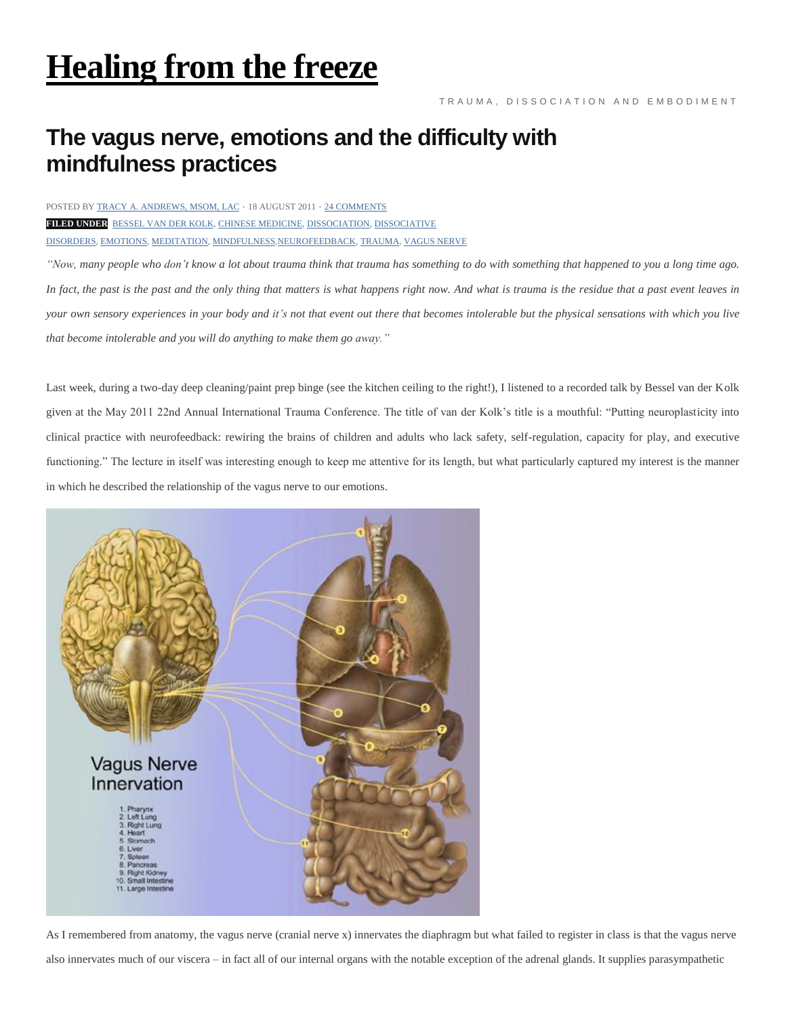## **[Healing](https://healingfromthefreeze.wordpress.com/) from the freeze**

## **The vagus nerve, emotions and the difficulty with mindfulness practices**

## POSTED BY TRACY A. [ANDREWS,](https://healingfromthefreeze.wordpress.com/author/littletreebigsky/) MSOM, LAC ⋅ 18 AUGUST 2011 ⋅ 24 [COMMENTS](https://healingfromthefreeze.wordpress.com/2011/08/18/the-vagus-nerve-and-the-difficulty-with-mindfulness/#comments)

**FILED UNDER** [BESSEL](https://healingfromthefreeze.wordpress.com/tag/bessel-van-der-kolk/) VAN DER KOLK, CHINESE [MEDICINE,](https://healingfromthefreeze.wordpress.com/tag/chinese-medicine-2/) [DISSOCIATION,](https://healingfromthefreeze.wordpress.com/tag/dissociation-2/) [DISSOCIATIVE](https://healingfromthefreeze.wordpress.com/tag/dissociative-disorders-2/) [DISORDERS,](https://healingfromthefreeze.wordpress.com/tag/dissociative-disorders-2/) [EMOTIONS,](https://healingfromthefreeze.wordpress.com/tag/emotions/) [MEDITATION,](https://healingfromthefreeze.wordpress.com/tag/meditation/) [MINDFULNESS,](https://healingfromthefreeze.wordpress.com/tag/mindfulness/)[NEUROFEEDBACK,](https://healingfromthefreeze.wordpress.com/tag/neurofeedback/) [TRAUMA,](https://healingfromthefreeze.wordpress.com/tag/trauma-2/) [VAGUS](https://healingfromthefreeze.wordpress.com/tag/vagus-nerve/) NERVE

"Now, many people who don't know a lot about trauma think that trauma has something to do with something that happened to you a long time ago. In fact, the past is the past and the only thing that matters is what happens right now. And what is trauma is the residue that a past event leaves in your own sensory experiences in your body and it's not that event out there that becomes intolerable but the physical sensations with which you live *that become intolerable and you will do anything to make them go away."*

Last week, during a two-day deep cleaning/paint prep binge (see the kitchen ceiling to the right!), I listened to a recorded talk by Bessel van der Kolk given at the May 2011 22nd Annual International Trauma Conference. The title of van der Kolk's title is a mouthful: "Putting neuroplasticity into clinical practice with neurofeedback: rewiring the brains of children and adults who lack safety, self-regulation, capacity for play, and executive functioning." The lecture in itself was interesting enough to keep me attentive for its length, but what particularly captured my interest is the manner in which he described the relationship of the vagus nerve to our emotions.



As I remembered from anatomy, the vagus nerve (cranial nerve x) innervates the diaphragm but what failed to register in class is that the vagus nerve

also innervates much of our viscera – in fact all of our internal organs with the notable exception of the adrenal glands. It supplies parasympathetic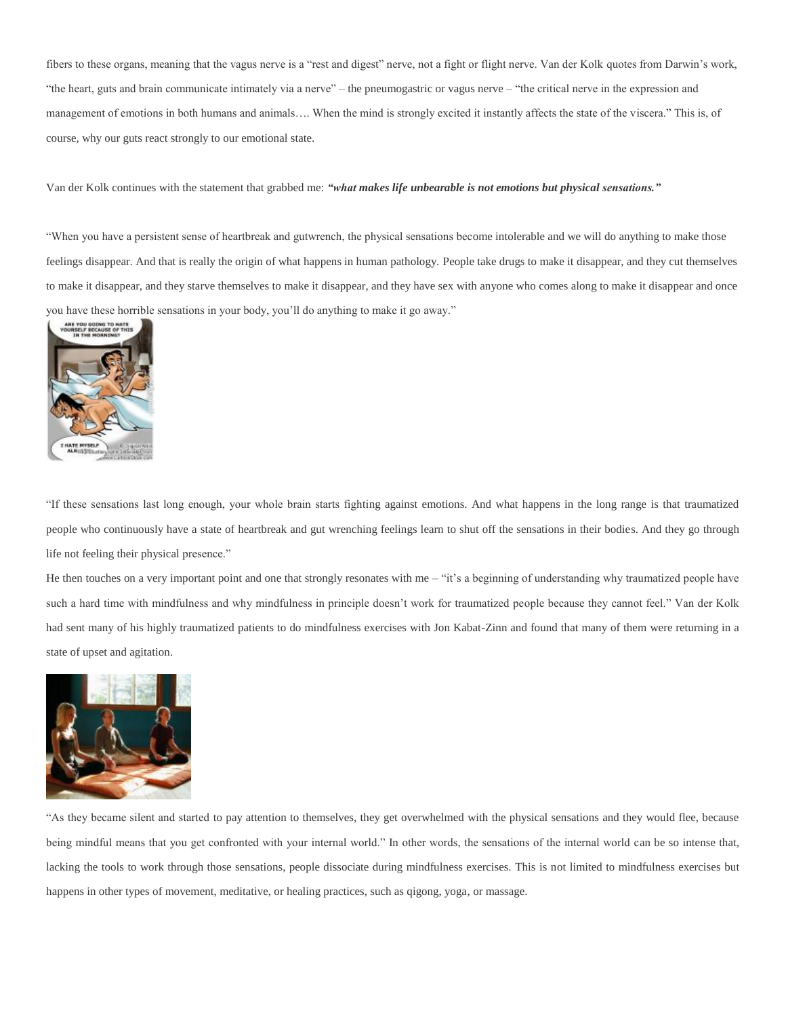fibers to these organs, meaning that the vagus nerve is a "rest and digest" nerve, not a fight or flight nerve. Van der Kolk quotes from Darwin's work, "the heart, guts and brain communicate intimately via a nerve" – the pneumogastric or vagus nerve – "the critical nerve in the expression and management of emotions in both humans and animals…. When the mind is strongly excited it instantly affects the state of the viscera." This is, of course, why our guts react strongly to our emotional state.

Van der Kolk continues with the statement that grabbed me: *"what makes life unbearable is not emotions but physical sensations."*

"When you have a persistent sense of heartbreak and gutwrench, the physical sensations become intolerable and we will do anything to make those feelings disappear. And that is really the origin of what happens in human pathology. People take drugs to make it disappear, and they cut themselves to make it disappear, and they starve themselves to make it disappear, and they have sex with anyone who comes along to make it disappear and once you have these horrible sensations in your body, you'll do anything to make it go away."



"If these sensations last long enough, your whole brain starts fighting against emotions. And what happens in the long range is that traumatized people who continuously have a state of heartbreak and gut wrenching feelings learn to shut off the sensations in their bodies. And they go through life not feeling their physical presence."

He then touches on a very important point and one that strongly resonates with me – "it's a beginning of understanding why traumatized people have such a hard time with mindfulness and why mindfulness in principle doesn't work for traumatized people because they cannot feel." Van der Kolk had sent many of his highly traumatized patients to do mindfulness exercises with Jon Kabat-Zinn and found that many of them were returning in a state of upset and agitation.



"As they became silent and started to pay attention to themselves, they get overwhelmed with the physical sensations and they would flee, because being mindful means that you get confronted with your internal world." In other words, the sensations of the internal world can be so intense that, lacking the tools to work through those sensations, people dissociate during mindfulness exercises. This is not limited to mindfulness exercises but happens in other types of movement, meditative, or healing practices, such as qigong, yoga, or massage.